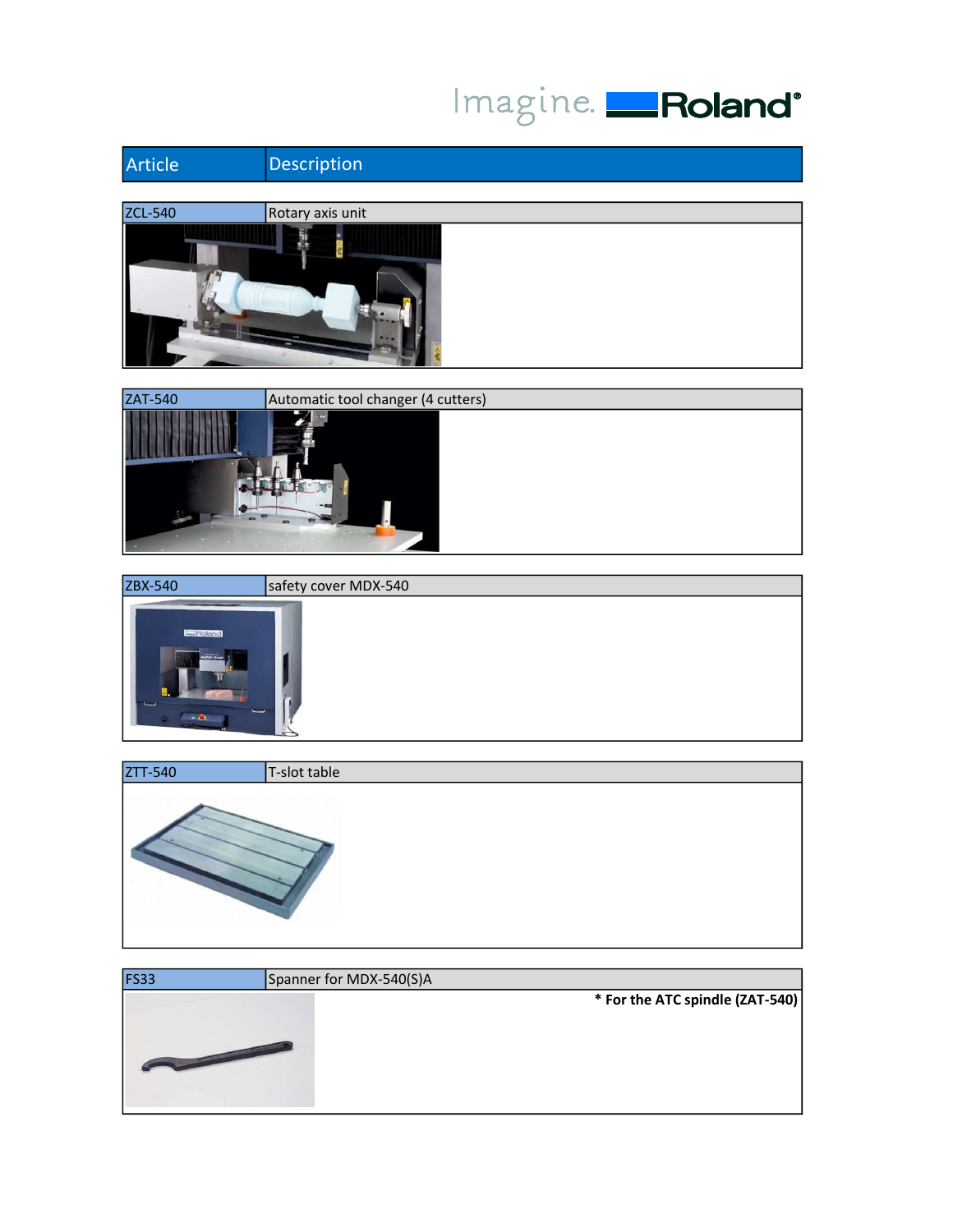## Imagine. Roland<sup>®</sup>





| ZBX-540                         | safety cover MDX-540 |
|---------------------------------|----------------------|
| Roland<br>NON-540<br>سا<br>$-2$ |                      |

| ZTT-540 | T-slot table |
|---------|--------------|
|         |              |

| Spanner for MDX-540(S)A         |
|---------------------------------|
| * For the ATC spindle (ZAT-540) |
|                                 |
|                                 |
|                                 |
|                                 |
|                                 |
|                                 |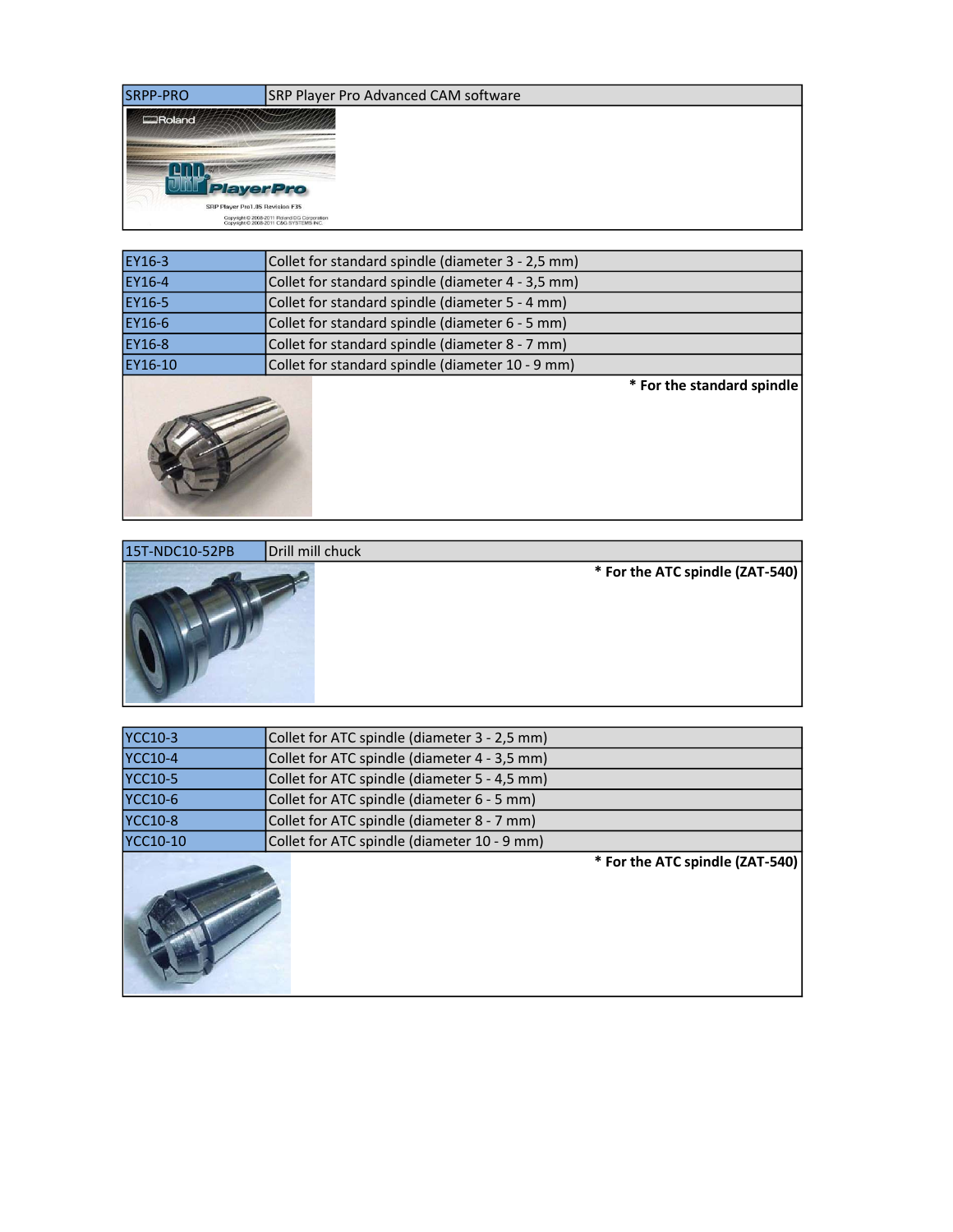| <b>SRPP-PRO</b>                 | SRP Player Pro Advanced CAM software                                                  |
|---------------------------------|---------------------------------------------------------------------------------------|
| Roland                          |                                                                                       |
|                                 |                                                                                       |
|                                 |                                                                                       |
| <b>PlayerPro</b>                |                                                                                       |
| SRP Player Pro1.05 Revision F35 |                                                                                       |
|                                 | Copyright © 2008-2011 Roland DG Corporation<br>Copyright © 2008-2011 C&G SYSTEMS INC. |

| EY16-3  | Collet for standard spindle (diameter 3 - 2,5 mm) |  |
|---------|---------------------------------------------------|--|
| EY16-4  | Collet for standard spindle (diameter 4 - 3,5 mm) |  |
| EY16-5  | Collet for standard spindle (diameter 5 - 4 mm)   |  |
| EY16-6  | Collet for standard spindle (diameter 6 - 5 mm)   |  |
| EY16-8  | Collet for standard spindle (diameter 8 - 7 mm)   |  |
| EY16-10 | Collet for standard spindle (diameter 10 - 9 mm)  |  |



\* For the standard spindle



| <b>YCC10-3</b>  | Collet for ATC spindle (diameter 3 - 2,5 mm) |  |
|-----------------|----------------------------------------------|--|
| <b>YCC10-4</b>  | Collet for ATC spindle (diameter 4 - 3,5 mm) |  |
| <b>YCC10-5</b>  | Collet for ATC spindle (diameter 5 - 4,5 mm) |  |
| <b>YCC10-6</b>  | Collet for ATC spindle (diameter 6 - 5 mm)   |  |
| <b>YCC10-8</b>  | Collet for ATC spindle (diameter 8 - 7 mm)   |  |
| <b>YCC10-10</b> | Collet for ATC spindle (diameter 10 - 9 mm)  |  |



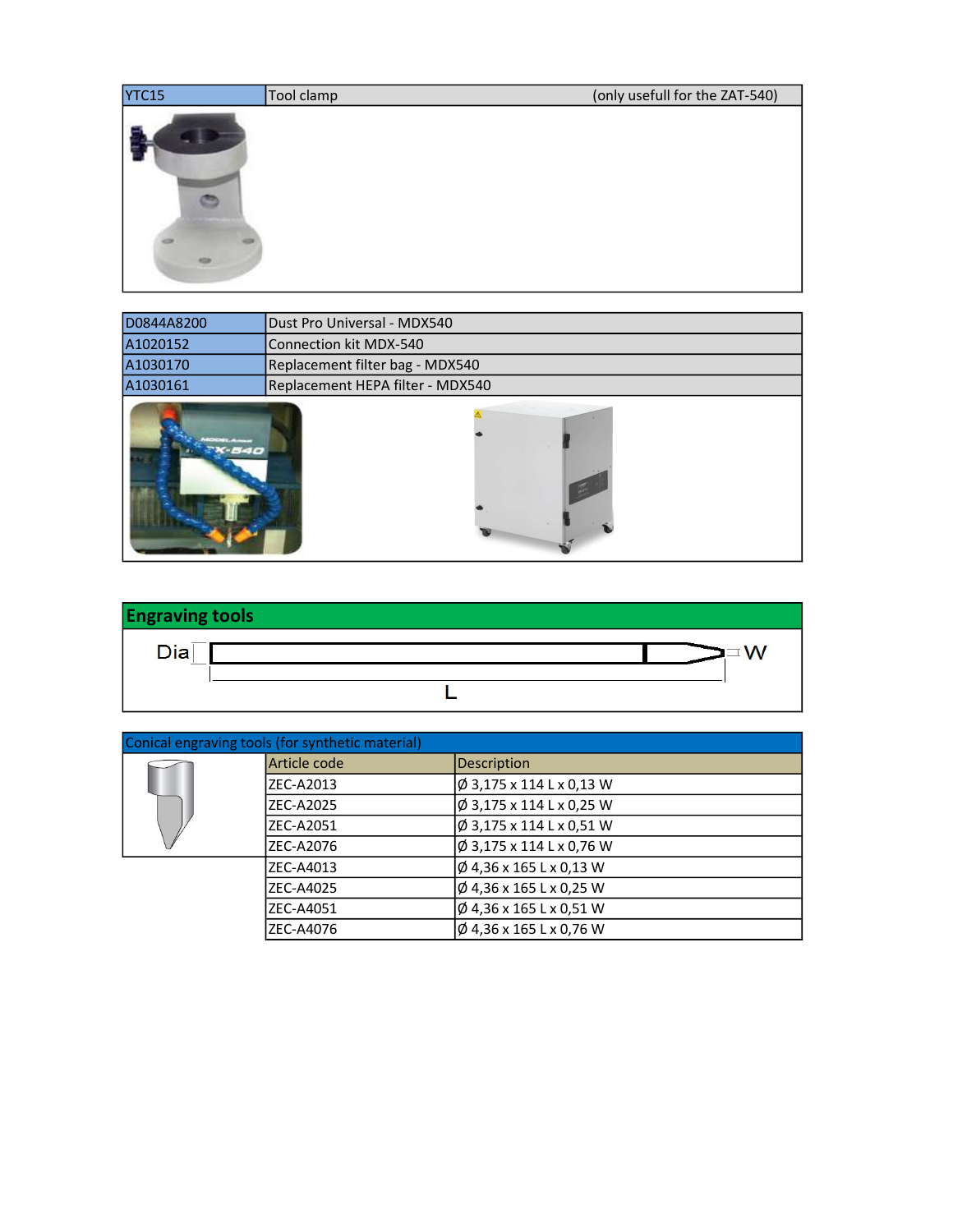| YTC15 | Tool clamp | (only usefull for the ZAT-540) |
|-------|------------|--------------------------------|
|       |            |                                |
|       |            |                                |

| D0844A8200 | Dust Pro Universal - MDX540      |  |
|------------|----------------------------------|--|
| A1020152   | Connection kit MDX-540           |  |
| A1030170   | Replacement filter bag - MDX540  |  |
| A1030161   | Replacement HEPA filter - MDX540 |  |
| $-440$     |                                  |  |



| Conical engraving tools (for synthetic material) |                  |                               |  |
|--------------------------------------------------|------------------|-------------------------------|--|
|                                                  | lArticle code    | Description                   |  |
|                                                  | IZEC-A2013       | $\phi$ 3,175 x 114 L x 0,13 W |  |
|                                                  | <b>ZEC-A2025</b> | $\phi$ 3,175 x 114 L x 0,25 W |  |
|                                                  | IZEC-A2051       | $\phi$ 3,175 x 114 L x 0,51 W |  |
|                                                  | IZEC-A2076       | $\phi$ 3,175 x 114 L x 0,76 W |  |
|                                                  | ZEC-A4013        | $\phi$ 4,36 x 165 L x 0,13 W  |  |
|                                                  | ZEC-A4025        | $\phi$ 4,36 x 165 L x 0,25 W  |  |
|                                                  | IZEC-A4051       | $\phi$ 4,36 x 165 L x 0,51 W  |  |
|                                                  | ZEC-A4076        | $\phi$ 4,36 x 165 L x 0,76 W  |  |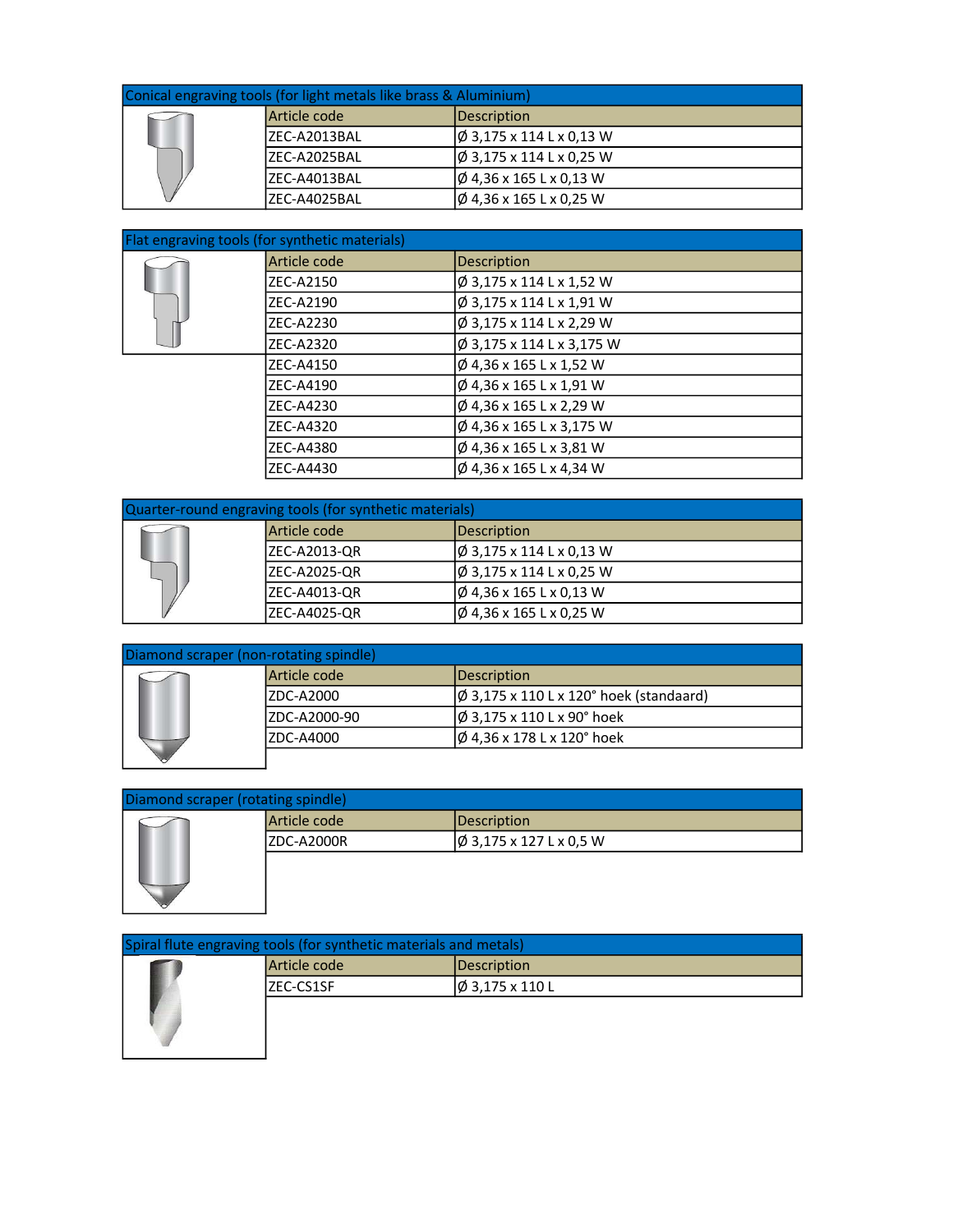| Conical engraving tools (for light metals like brass & Aluminium) |               |                               |  |
|-------------------------------------------------------------------|---------------|-------------------------------|--|
|                                                                   | Article code  | Description                   |  |
|                                                                   | IZEC-A2013BAL | $\phi$ 3,175 x 114 L x 0,13 W |  |
|                                                                   | IZEC-A2025BAL | $\phi$ 3,175 x 114 L x 0,25 W |  |
|                                                                   | IZEC-A4013BAL | Ø 4,36 x 165 L x 0,13 W       |  |
|                                                                   | IZEC-A4025BAL | Ø 4,36 x 165 L x 0,25 W       |  |

| Flat engraving tools (for synthetic materials) |              |                              |  |
|------------------------------------------------|--------------|------------------------------|--|
|                                                | Article code | <b>Description</b>           |  |
|                                                | ZEC-A2150    | Ø 3,175 x 114 L x 1,52 W     |  |
|                                                | ZEC-A2190    | Ø 3,175 x 114 L x 1,91 W     |  |
|                                                | ZEC-A2230    | Ø 3,175 x 114 L x 2,29 W     |  |
|                                                | ZEC-A2320    | Ø 3,175 x 114 L x 3,175 W    |  |
|                                                | ZEC-A4150    | Ø 4,36 x 165 L x 1,52 W      |  |
|                                                | ZEC-A4190    | Ø 4,36 x 165 L x 1,91 W      |  |
|                                                | ZEC-A4230    | $\phi$ 4,36 x 165 L x 2,29 W |  |
|                                                | ZEC-A4320    | Ø 4,36 x 165 L x 3,175 W     |  |
|                                                | ZEC-A4380    | Ø 4,36 x 165 L x 3,81 W      |  |
|                                                | ZEC-A4430    | Ø 4,36 x 165 L x 4,34 W      |  |

| Quarter-round engraving tools (for synthetic materials) |                      |                                |  |
|---------------------------------------------------------|----------------------|--------------------------------|--|
|                                                         | Article code         | Description                    |  |
|                                                         | <b>IZEC-A2013-QR</b> | $ \phi$ 3,175 x 114 L x 0,13 W |  |
|                                                         | <b>IZEC-A2025-QR</b> | $\phi$ 3,175 x 114 L x 0,25 W  |  |
|                                                         | <b>IZEC-A4013-QR</b> | Ø 4,36 x 165 L x 0,13 W        |  |
|                                                         | IZEC-A4025-QR        | Ø 4,36 x 165 L x 0,25 W        |  |

|  | Diamond scraper (non-rotating spindle) |                                                 |
|--|----------------------------------------|-------------------------------------------------|
|  | Article code                           | Description                                     |
|  | IZDC-A2000                             | $\varphi$ 3,175 x 110 L x 120° hoek (standaard) |
|  | ZDC-A2000-90                           | $\phi$ 3,175 x 110 L x 90° hoek                 |
|  | ZDC-A4000                              | $\phi$ 4,36 x 178 L x 120° hoek                 |
|  |                                        |                                                 |

| Diamond scraper (rotating spindle) |              |                              |
|------------------------------------|--------------|------------------------------|
|                                    | Article code | Description                  |
|                                    | IZDC-A2000R  | $\phi$ 3,175 x 127 L x 0,5 W |
|                                    |              |                              |

| Spiral flute engraving tools (for synthetic materials and metals) |              |                            |
|-------------------------------------------------------------------|--------------|----------------------------|
|                                                                   | Article code | Description                |
|                                                                   | IZEC-CS1SF   | $ \phi 3,175 \times 110$ L |
|                                                                   |              |                            |
|                                                                   |              |                            |
|                                                                   |              |                            |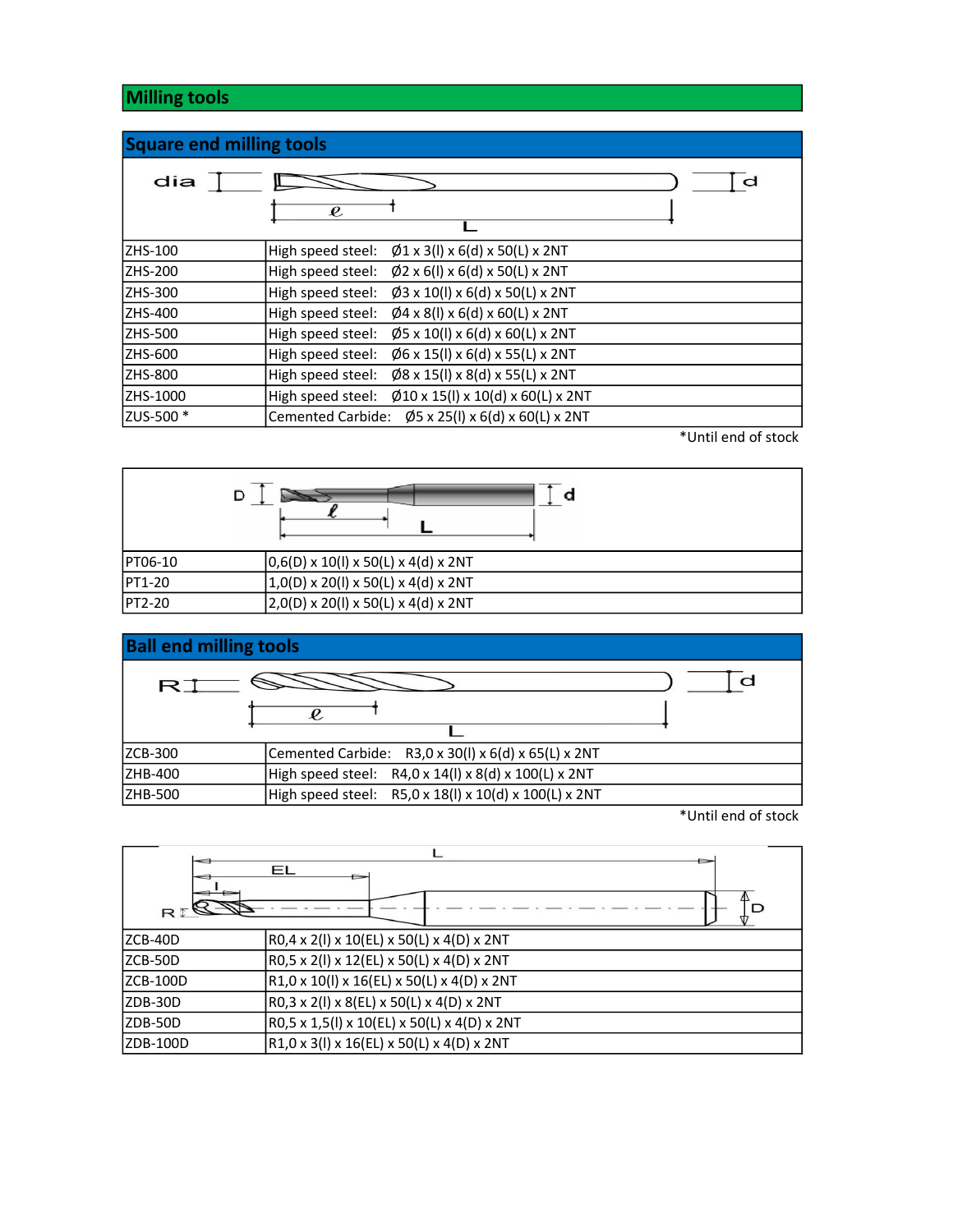## Milling tools

| <b>Square end milling tools</b> |                                                              |
|---------------------------------|--------------------------------------------------------------|
| dia                             | d<br>$\boldsymbol{\varrho}$                                  |
| <b>ZHS-100</b>                  | High speed steel: $\emptyset$ 1 x 3(I) x 6(d) x 50(L) x 2NT  |
| <b>ZHS-200</b>                  | High speed steel: $\emptyset$ 2 x 6(I) x 6(d) x 50(L) x 2NT  |
| ZHS-300                         | High speed steel: $\emptyset$ 3 x 10(I) x 6(d) x 50(L) x 2NT |
| <b>ZHS-400</b>                  | High speed steel: $\emptyset$ 4 x 8(I) x 6(d) x 60(L) x 2NT  |
| ZHS-500                         | High speed steel: $\emptyset$ 5 x 10(I) x 6(d) x 60(L) x 2NT |
| ZHS-600                         | High speed steel: $\emptyset$ 6 x 15(I) x 6(d) x 55(L) x 2NT |
| ZHS-800                         | High speed steel: $\emptyset$ 8 x 15(I) x 8(d) x 55(L) x 2NT |
| ZHS-1000                        | High speed steel: Ø10 x 15(I) x 10(d) x 60(L) x 2NT          |
| ZUS-500 *                       | Cemented Carbide: $\emptyset$ 5 x 25(I) x 6(d) x 60(L) x 2NT |

\*Until end of stock

| PT06-10 | $(0,6(D) \times 10(I) \times 50(L) \times 4(d) \times 2NT)$ |
|---------|-------------------------------------------------------------|
| PT1-20  | $(1,0(D) \times 20(I) \times 50(L) \times 4(d) \times 2NT)$ |
| PT2-20  | $(2,0(D) \times 20(I) \times 50(L) \times 4(d) \times 2NT)$ |



\*Until end of stock